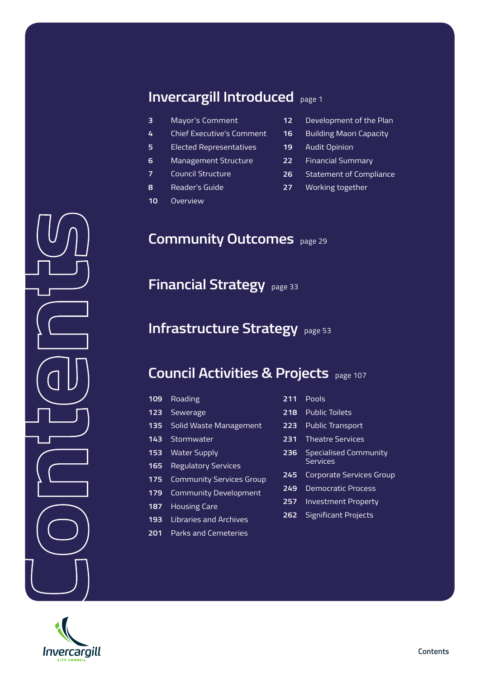### **Invercargill Introduced**page 1

- Mayor's Comment
- Chief Executive's Comment
- Elected Representatives
- Management Structure
- Council Structure
- Reader's Guide
- Overview
- Development of the Plan
- Building Maori Capacity
- Audit Opinion
- Financial Summary
- Statement of Compliance
- Working together

### **Community Outcomes**page 29

**Financial Strategy**page 33

#### **Infrastructure Strategy**page 53

#### **Council Activities & Projects**page 107

| 109              | Roading                         | $\overline{2}$ |
|------------------|---------------------------------|----------------|
| 123              | <b>Sewerage</b>                 | $\overline{2}$ |
| $\overline{135}$ | Solid Waste Management          | 2              |
| 143              | Stormwater                      | 2              |
| 153              | <b>Water Supply</b>             | $\overline{2}$ |
| 165              | <b>Regulatory Services</b>      |                |
| 175              | <b>Community Services Group</b> | 2              |
| 179              | <b>Community Development</b>    | 2              |
| 187              | <b>Housing Care</b>             | 2              |
| 193              | <b>Libraries and Archives</b>   | 2              |
| 201              | <b>Parks and Cemeteries</b>     |                |

- Pools
- Public Toilets
- Public Transport
- Theatre Services
- Specialised Community **Services**
- Corporate Services Group
- Democratic Process
- Investment Property
- Significant Projects